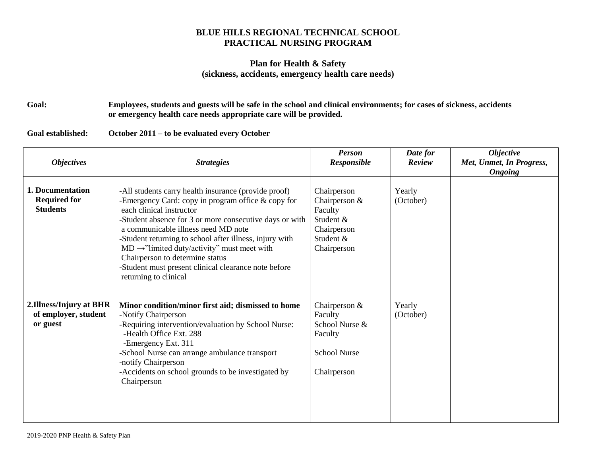## **BLUE HILLS REGIONAL TECHNICAL SCHOOL PRACTICAL NURSING PROGRAM**

## **Plan for Health & Safety (sickness, accidents, emergency health care needs)**

**Goal: Employees, students and guests will be safe in the school and clinical environments; for cases of sickness, accidents or emergency health care needs appropriate care will be provided.**

**Goal established: October 2011 – to be evaluated every October**

| <b>Objectives</b>                                           | <b>Strategies</b>                                                                                                                                                                                                                                                                                                                                                                                                                                                                    | <b>Person</b><br>Responsible                                                                      | Date for<br>Review  | <b>Objective</b><br>Met, Unmet, In Progress,<br><b>Ongoing</b> |
|-------------------------------------------------------------|--------------------------------------------------------------------------------------------------------------------------------------------------------------------------------------------------------------------------------------------------------------------------------------------------------------------------------------------------------------------------------------------------------------------------------------------------------------------------------------|---------------------------------------------------------------------------------------------------|---------------------|----------------------------------------------------------------|
| 1. Documentation<br><b>Required for</b><br><b>Students</b>  | -All students carry health insurance (provide proof)<br>-Emergency Card: copy in program office $&$ copy for<br>each clinical instructor<br>-Student absence for 3 or more consecutive days or with<br>a communicable illness need MD note<br>-Student returning to school after illness, injury with<br>$MD \rightarrow$ "limited duty/activity" must meet with<br>Chairperson to determine status<br>-Student must present clinical clearance note before<br>returning to clinical | Chairperson<br>Chairperson $&$<br>Faculty<br>Student &<br>Chairperson<br>Student &<br>Chairperson | Yearly<br>(October) |                                                                |
| 2.Illness/Injury at BHR<br>of employer, student<br>or guest | Minor condition/minor first aid; dismissed to home<br>-Notify Chairperson<br>-Requiring intervention/evaluation by School Nurse:<br>-Health Office Ext. 288<br>-Emergency Ext. 311<br>-School Nurse can arrange ambulance transport<br>-notify Chairperson<br>-Accidents on school grounds to be investigated by<br>Chairperson                                                                                                                                                      | Chairperson $&$<br>Faculty<br>School Nurse &<br>Faculty<br><b>School Nurse</b><br>Chairperson     | Yearly<br>(October) |                                                                |